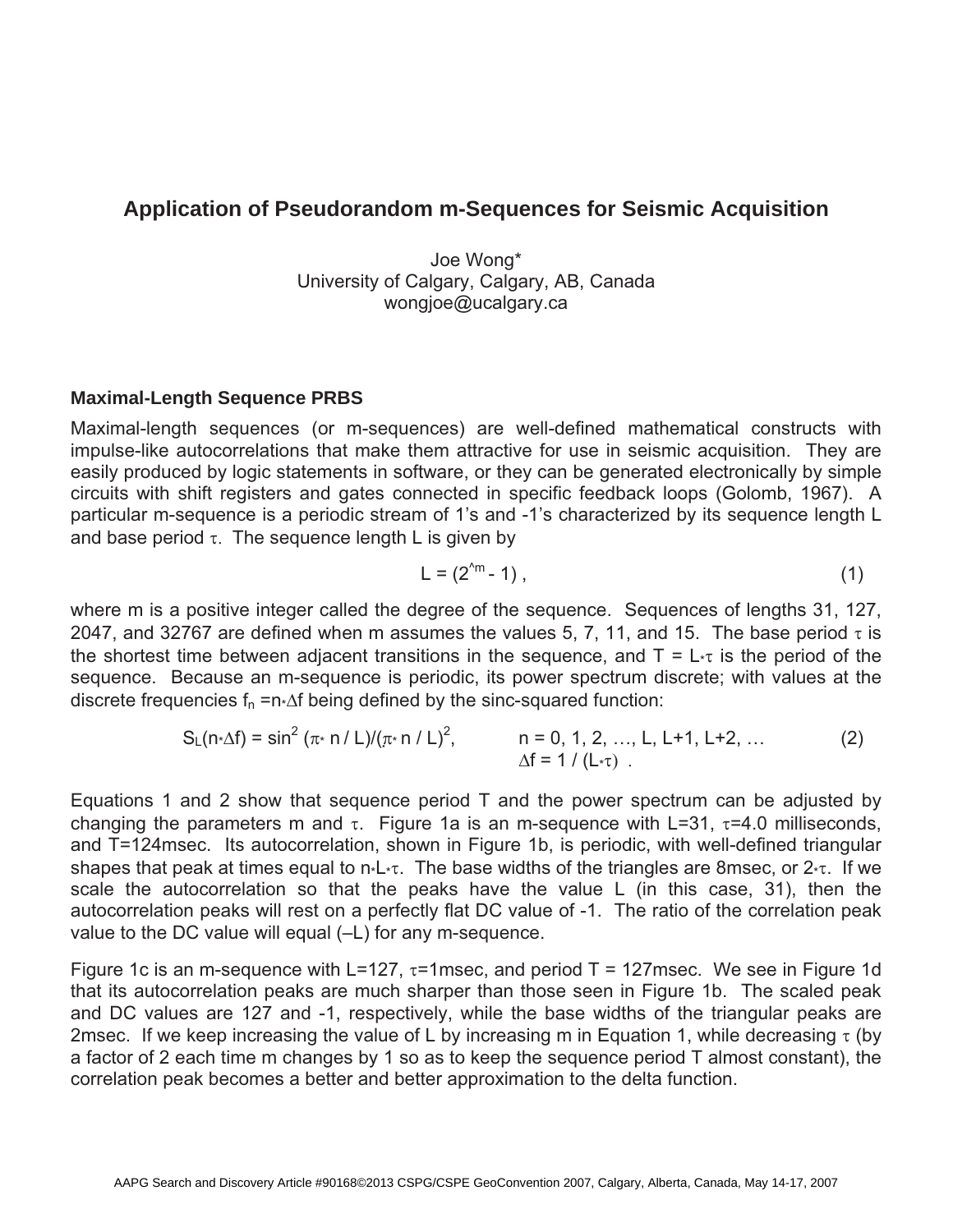# **Application of Pseudorandom m-Sequences for Seismic Acquisition**

Joe Wong\* University of Calgary, Calgary, AB, Canada wongjoe@ucalgary.ca

## **Maximal-Length Sequence PRBS**

Maximal-length sequences (or m-sequences) are well-defined mathematical constructs with impulse-like autocorrelations that make them attractive for use in seismic acquisition. They are easily produced by logic statements in software, or they can be generated electronically by simple circuits with shift registers and gates connected in specific feedback loops (Golomb, 1967). A particular m-sequence is a periodic stream of 1's and -1's characterized by its sequence length L and base period  $\tau$ . The sequence length L is given by

$$
L = (2^{2m} - 1) , \qquad (1)
$$

where m is a positive integer called the degree of the sequence. Sequences of lengths 31, 127, 2047, and 32767 are defined when m assumes the values 5, 7, 11, and 15. The base period  $\tau$  is the shortest time between adjacent transitions in the sequence, and  $T = L_{\tau}$  is the period of the sequence. Because an m-sequence is periodic, its power spectrum discrete; with values at the discrete frequencies  $f_n = n \Delta f$  being defined by the sinc-squared function:

$$
S_{L}(n \triangle f) = \sin^{2} (\pi \triangle f / L) / (\pi \triangle f / L)^{2}, \qquad n = 0, 1, 2, ..., L, L+1, L+2, ...
$$
 (2)  
\n
$$
\Delta f = 1 / (L \triangle f) .
$$

Equations 1 and 2 show that sequence period T and the power spectrum can be adjusted by changing the parameters m and  $\tau$ . Figure 1a is an m-sequence with L=31,  $\tau$ =4.0 milliseconds, and T=124msec. Its autocorrelation, shown in Figure 1b, is periodic, with well-defined triangular shapes that peak at times equal to  $n \cdot L \cdot \tau$ . The base widths of the triangles are 8msec, or  $2 \cdot \tau$ . If we scale the autocorrelation so that the peaks have the value L (in this case, 31), then the autocorrelation peaks will rest on a perfectly flat DC value of -1. The ratio of the correlation peak value to the DC value will equal (–L) for any m-sequence.

Figure 1c is an m-sequence with L=127,  $\tau$ =1msec, and period T = 127msec. We see in Figure 1d that its autocorrelation peaks are much sharper than those seen in Figure 1b. The scaled peak and DC values are 127 and -1, respectively, while the base widths of the triangular peaks are 2msec. If we keep increasing the value of L by increasing m in Equation 1, while decreasing  $\tau$  (by a factor of 2 each time m changes by 1 so as to keep the sequence period T almost constant), the correlation peak becomes a better and better approximation to the delta function.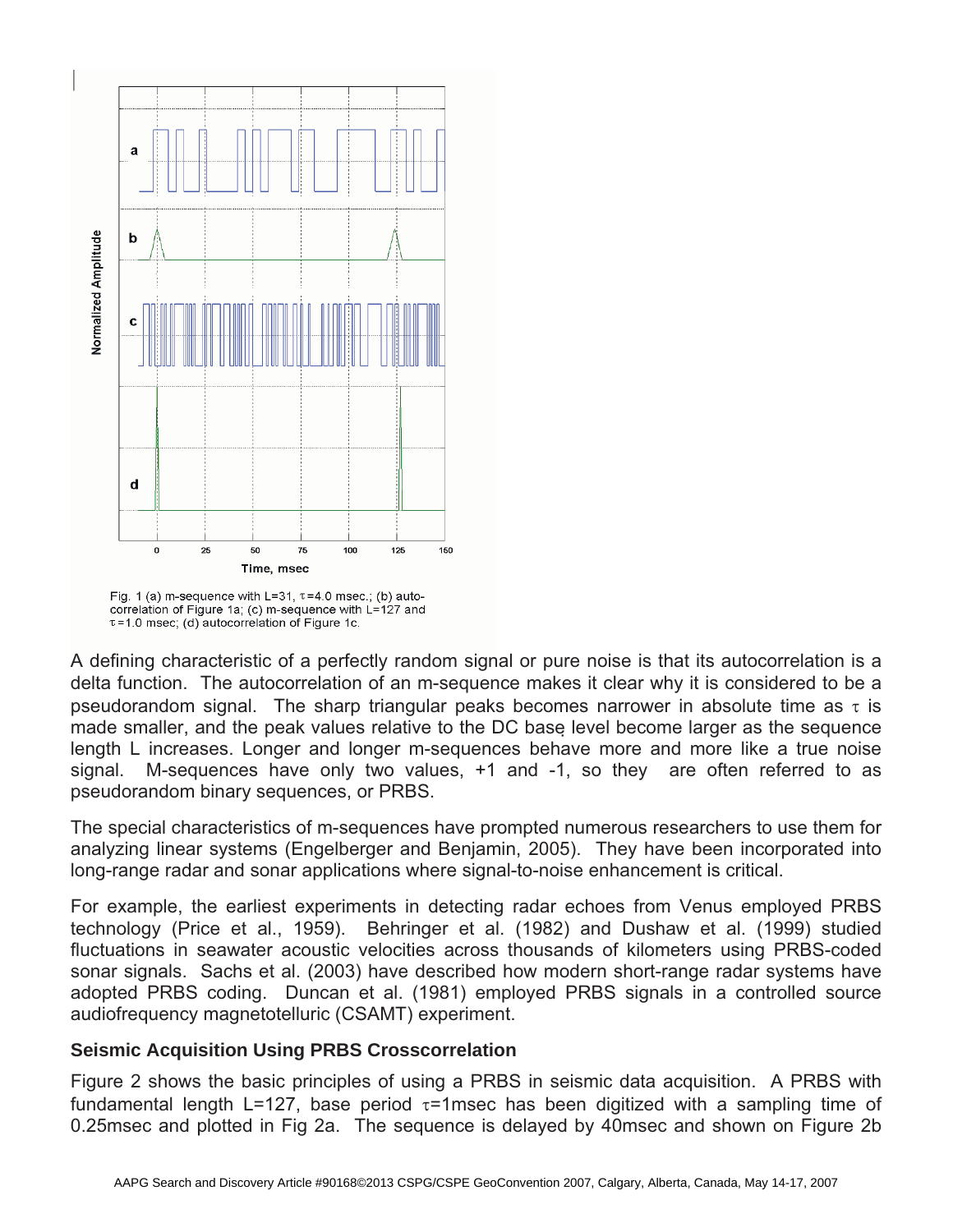

Fig. 1 (a) m-sequence with L=31,  $\tau$ =4.0 msec.; (b) autocorrelation of Figure 1a; (c) m-sequence with L=127 and  $\tau$  =1.0 msec; (d) autocorrelation of Figure 1c.

A defining characteristic of a perfectly random signal or pure noise is that its autocorrelation is a delta function. The autocorrelation of an m-sequence makes it clear why it is considered to be a pseudorandom signal. The sharp triangular peaks becomes narrower in absolute time as  $\tau$  is made smaller, and the peak values relative to the DC base level become larger as the sequence length L increases. Longer and longer m-sequences behave more and more like a true noise signal. M-sequences have only two values, +1 and -1, so they are often referred to as pseudorandom binary sequences, or PRBS.

The special characteristics of m-sequences have prompted numerous researchers to use them for analyzing linear systems (Engelberger and Benjamin, 2005). They have been incorporated into long-range radar and sonar applications where signal-to-noise enhancement is critical.

For example, the earliest experiments in detecting radar echoes from Venus employed PRBS technology (Price et al., 1959). Behringer et al. (1982) and Dushaw et al. (1999) studied fluctuations in seawater acoustic velocities across thousands of kilometers using PRBS-coded sonar signals. Sachs et al. (2003) have described how modern short-range radar systems have adopted PRBS coding. Duncan et al. (1981) employed PRBS signals in a controlled source audiofrequency magnetotelluric (CSAMT) experiment.

# **Seismic Acquisition Using PRBS Crosscorrelation**

Figure 2 shows the basic principles of using a PRBS in seismic data acquisition. A PRBS with fundamental length L=127, base period  $\tau$ =1msec has been digitized with a sampling time of 0.25msec and plotted in Fig 2a. The sequence is delayed by 40msec and shown on Figure 2b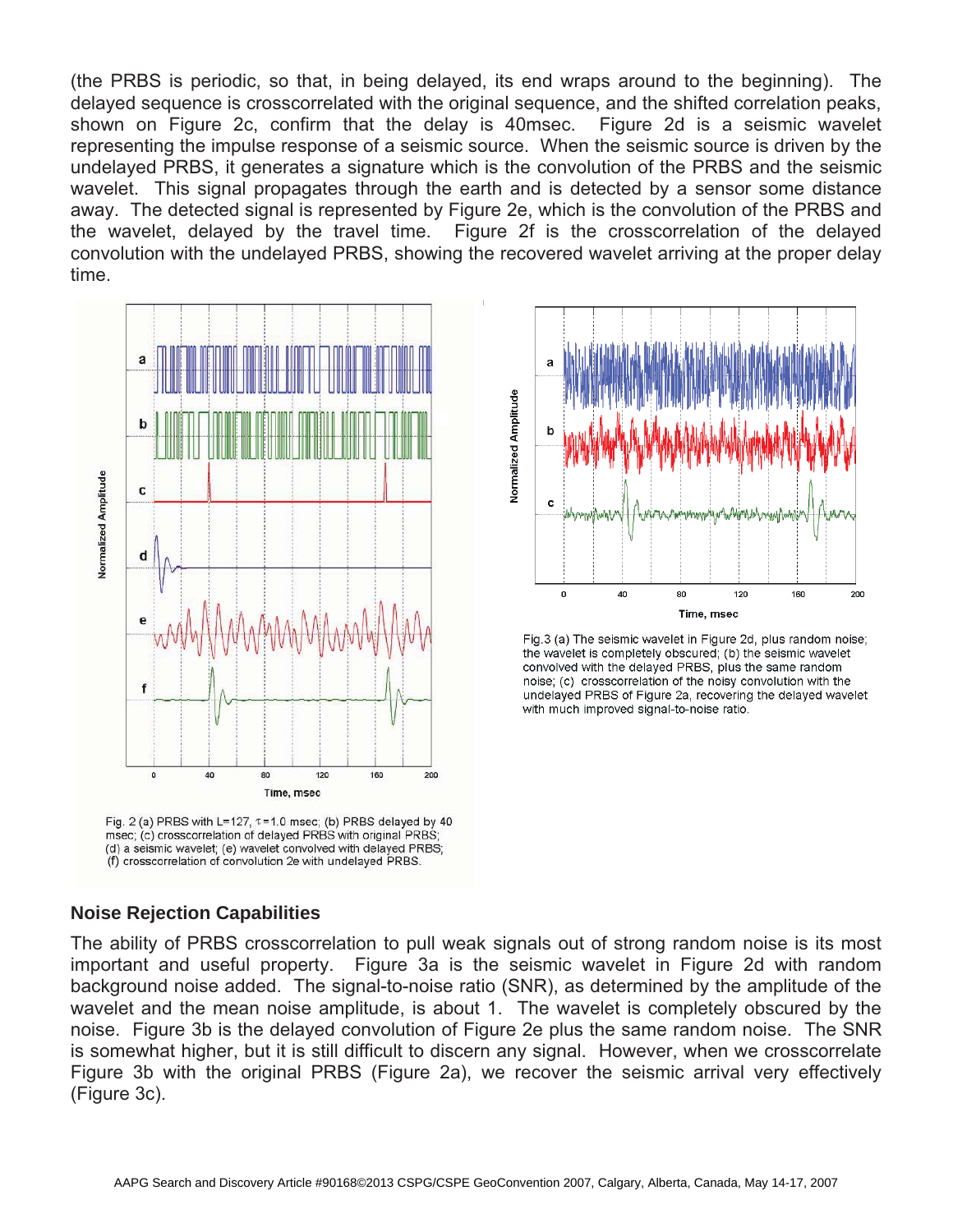(the PRBS is periodic, so that, in being delayed, its end wraps around to the beginning). The delayed sequence is crosscorrelated with the original sequence, and the shifted correlation peaks, shown on Figure 2c, confirm that the delay is 40msec. Figure 2d is a seismic wavelet representing the impulse response of a seismic source. When the seismic source is driven by the undelayed PRBS, it generates a signature which is the convolution of the PRBS and the seismic wavelet. This signal propagates through the earth and is detected by a sensor some distance away. The detected signal is represented by Figure 2e, which is the convolution of the PRBS and the wavelet, delayed by the travel time. Figure 2f is the crosscorrelation of the delayed convolution with the undelayed PRBS, showing the recovered wavelet arriving at the proper delay time.



Fig. 2 (a) PRBS with L=127,  $\tau$ =1.0 msec; (b) PRBS delayed by 40 msec; (c) crosscorrelation of delayed PRBS with original PRBS; (d) a seismic wavelet; (e) wavelet convolved with delayed PRBS; (f) crosscorrelation of convolution 2e with undelayed PRBS.



Fig.3 (a) The seismic wavelet in Figure 2d, plus random noise; the wavelet is completely obscured; (b) the seismic wavelet convolved with the delayed PRBS, plus the same random noise; (c) crosscorrelation of the noisy convolution with the undelayed PRBS of Figure 2a, recovering the delayed wavelet with much improved signal-to-noise ratio.

## **Noise Rejection Capabilities**

The ability of PRBS crosscorrelation to pull weak signals out of strong random noise is its most important and useful property. Figure 3a is the seismic wavelet in Figure 2d with random background noise added. The signal-to-noise ratio (SNR), as determined by the amplitude of the wavelet and the mean noise amplitude, is about 1. The wavelet is completely obscured by the noise. Figure 3b is the delayed convolution of Figure 2e plus the same random noise. The SNR is somewhat higher, but it is still difficult to discern any signal. However, when we crosscorrelate Figure 3b with the original PRBS (Figure 2a), we recover the seismic arrival very effectively (Figure 3c).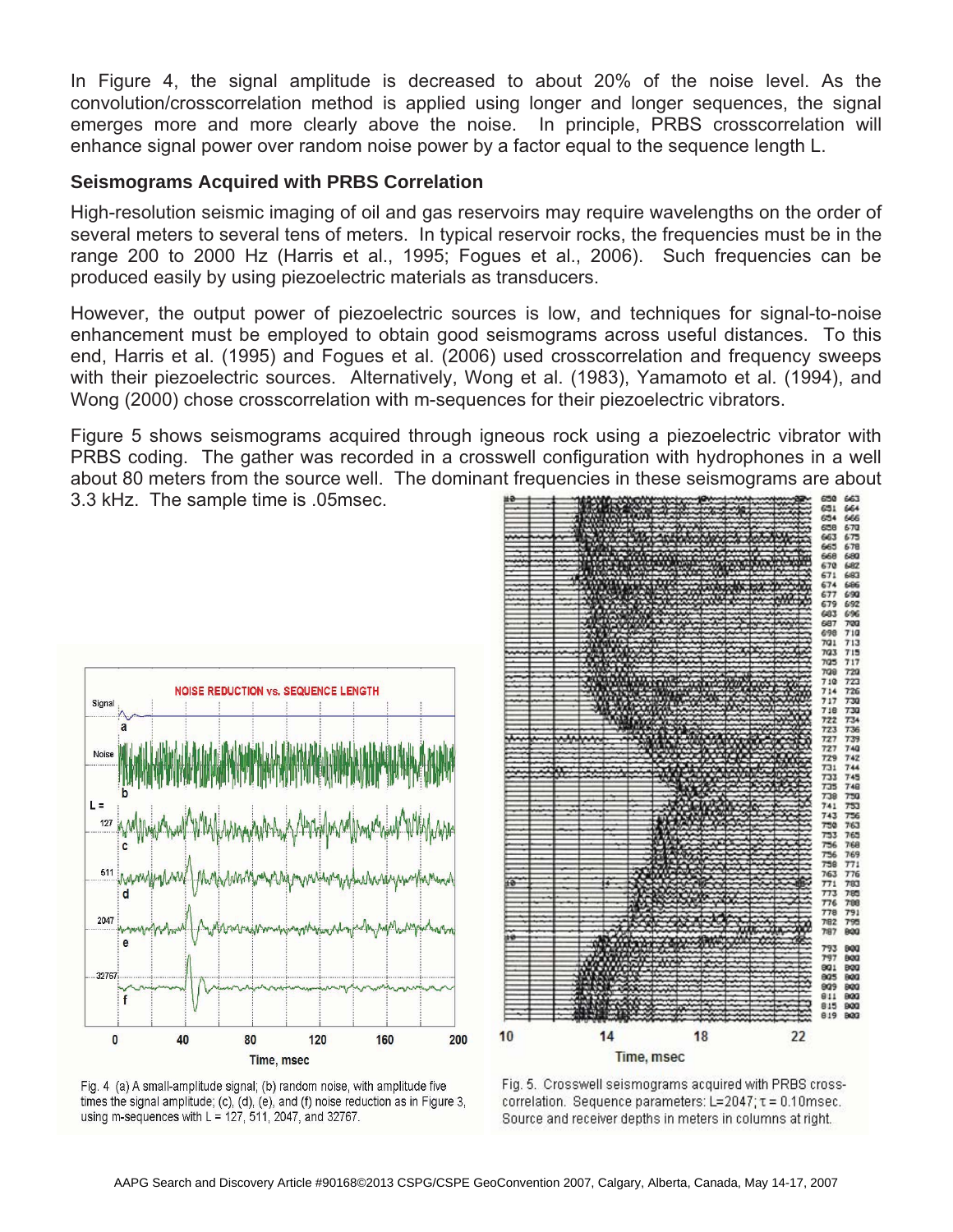In Figure 4, the signal amplitude is decreased to about 20% of the noise level. As the convolution/crosscorrelation method is applied using longer and longer sequences, the signal emerges more and more clearly above the noise. In principle, PRBS crosscorrelation will enhance signal power over random noise power by a factor equal to the sequence length L.

#### **Seismograms Acquired with PRBS Correlation**

High-resolution seismic imaging of oil and gas reservoirs may require wavelengths on the order of several meters to several tens of meters. In typical reservoir rocks, the frequencies must be in the range 200 to 2000 Hz (Harris et al., 1995; Fogues et al., 2006). Such frequencies can be produced easily by using piezoelectric materials as transducers.

However, the output power of piezoelectric sources is low, and techniques for signal-to-noise enhancement must be employed to obtain good seismograms across useful distances. To this end, Harris et al. (1995) and Fogues et al. (2006) used crosscorrelation and frequency sweeps with their piezoelectric sources. Alternatively, Wong et al. (1983), Yamamoto et al. (1994), and Wong (2000) chose crosscorrelation with m-sequences for their piezoelectric vibrators.

Figure 5 shows seismograms acquired through igneous rock using a piezoelectric vibrator with PRBS coding. The gather was recorded in a crosswell configuration with hydrophones in a well about 80 meters from the source well. The dominant frequencies in these seismograms are about 3.3 kHz. The sample time is .05msec.







Fig. 5. Crosswell seismograms acquired with PRBS crosscorrelation. Sequence parameters: L=2047; t = 0.10msec. Source and receiver depths in meters in columns at right.